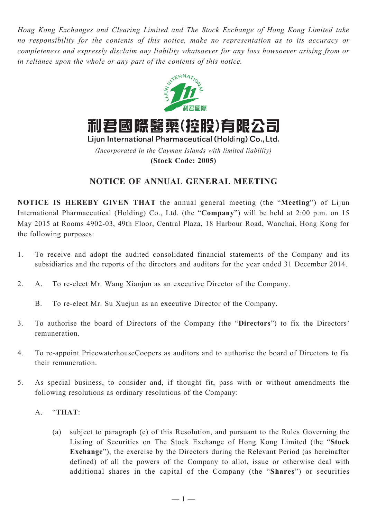*Hong Kong Exchanges and Clearing Limited and The Stock Exchange of Hong Kong Limited take no responsibility for the contents of this notice, make no representation as to its accuracy or completeness and expressly disclaim any liability whatsoever for any loss howsoever arising from or in reliance upon the whole or any part of the contents of this notice.*



**(Stock Code: 2005)**

## **NOTICE OF ANNUAL GENERAL MEETING**

**NOTICE IS HEREBY GIVEN THAT** the annual general meeting (the "**Meeting**") of Lijun International Pharmaceutical (Holding) Co., Ltd. (the "**Company**") will be held at 2:00 p.m. on 15 May 2015 at Rooms 4902-03, 49th Floor, Central Plaza, 18 Harbour Road, Wanchai, Hong Kong for the following purposes:

- 1. To receive and adopt the audited consolidated financial statements of the Company and its subsidiaries and the reports of the directors and auditors for the year ended 31 December 2014.
- 2. A. To re-elect Mr. Wang Xianjun as an executive Director of the Company.
	- B. To re-elect Mr. Su Xuejun as an executive Director of the Company.
- 3. To authorise the board of Directors of the Company (the "**Directors**") to fix the Directors' remuneration.
- 4. To re-appoint PricewaterhouseCoopers as auditors and to authorise the board of Directors to fix their remuneration.
- 5. As special business, to consider and, if thought fit, pass with or without amendments the following resolutions as ordinary resolutions of the Company:
	- A. "**THAT**:
		- (a) subject to paragraph (c) of this Resolution, and pursuant to the Rules Governing the Listing of Securities on The Stock Exchange of Hong Kong Limited (the "**Stock Exchange**"), the exercise by the Directors during the Relevant Period (as hereinafter defined) of all the powers of the Company to allot, issue or otherwise deal with additional shares in the capital of the Company (the "**Shares**") or securities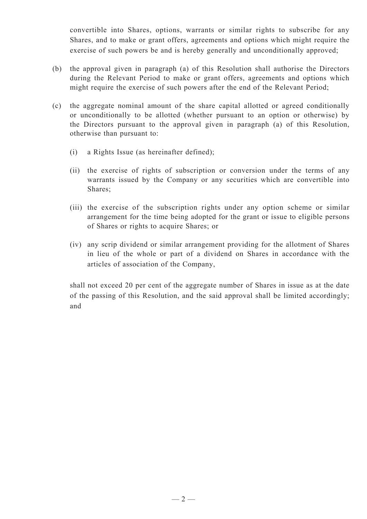convertible into Shares, options, warrants or similar rights to subscribe for any Shares, and to make or grant offers, agreements and options which might require the exercise of such powers be and is hereby generally and unconditionally approved;

- (b) the approval given in paragraph (a) of this Resolution shall authorise the Directors during the Relevant Period to make or grant offers, agreements and options which might require the exercise of such powers after the end of the Relevant Period;
- (c) the aggregate nominal amount of the share capital allotted or agreed conditionally or unconditionally to be allotted (whether pursuant to an option or otherwise) by the Directors pursuant to the approval given in paragraph (a) of this Resolution, otherwise than pursuant to:
	- (i) a Rights Issue (as hereinafter defined);
	- (ii) the exercise of rights of subscription or conversion under the terms of any warrants issued by the Company or any securities which are convertible into Shares;
	- (iii) the exercise of the subscription rights under any option scheme or similar arrangement for the time being adopted for the grant or issue to eligible persons of Shares or rights to acquire Shares; or
	- (iv) any scrip dividend or similar arrangement providing for the allotment of Shares in lieu of the whole or part of a dividend on Shares in accordance with the articles of association of the Company,

shall not exceed 20 per cent of the aggregate number of Shares in issue as at the date of the passing of this Resolution, and the said approval shall be limited accordingly; and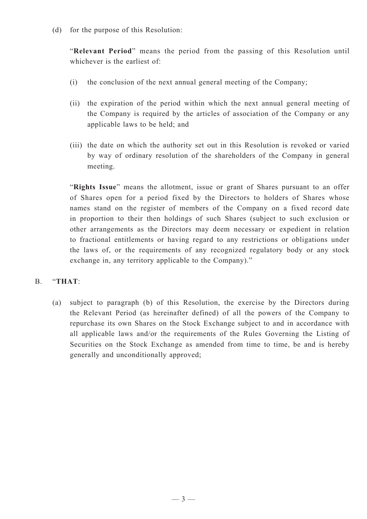(d) for the purpose of this Resolution:

"**Relevant Period**" means the period from the passing of this Resolution until whichever is the earliest of

- (i) the conclusion of the next annual general meeting of the Company;
- (ii) the expiration of the period within which the next annual general meeting of the Company is required by the articles of association of the Company or any applicable laws to be held; and
- (iii) the date on which the authority set out in this Resolution is revoked or varied by way of ordinary resolution of the shareholders of the Company in general meeting.

"**Rights Issue**" means the allotment, issue or grant of Shares pursuant to an offer of Shares open for a period fixed by the Directors to holders of Shares whose names stand on the register of members of the Company on a fixed record date in proportion to their then holdings of such Shares (subject to such exclusion or other arrangements as the Directors may deem necessary or expedient in relation to fractional entitlements or having regard to any restrictions or obligations under the laws of, or the requirements of any recognized regulatory body or any stock exchange in, any territory applicable to the Company)."

## B. "**THAT**:

(a) subject to paragraph (b) of this Resolution, the exercise by the Directors during the Relevant Period (as hereinafter defined) of all the powers of the Company to repurchase its own Shares on the Stock Exchange subject to and in accordance with all applicable laws and/or the requirements of the Rules Governing the Listing of Securities on the Stock Exchange as amended from time to time, be and is hereby generally and unconditionally approved;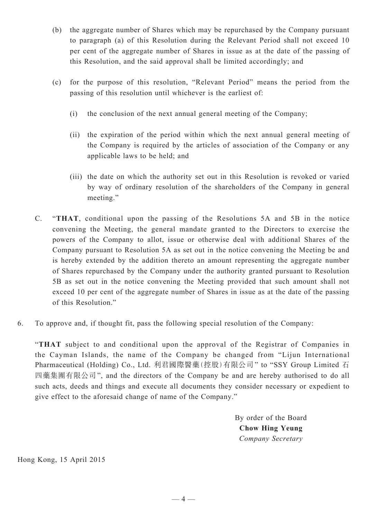- (b) the aggregate number of Shares which may be repurchased by the Company pursuant to paragraph (a) of this Resolution during the Relevant Period shall not exceed 10 per cent of the aggregate number of Shares in issue as at the date of the passing of this Resolution, and the said approval shall be limited accordingly; and
- (c) for the purpose of this resolution, "Relevant Period" means the period from the passing of this resolution until whichever is the earliest of:
	- (i) the conclusion of the next annual general meeting of the Company;
	- (ii) the expiration of the period within which the next annual general meeting of the Company is required by the articles of association of the Company or any applicable laws to be held; and
	- (iii) the date on which the authority set out in this Resolution is revoked or varied by way of ordinary resolution of the shareholders of the Company in general meeting."
- C. "**THAT**, conditional upon the passing of the Resolutions 5A and 5B in the notice convening the Meeting, the general mandate granted to the Directors to exercise the powers of the Company to allot, issue or otherwise deal with additional Shares of the Company pursuant to Resolution 5A as set out in the notice convening the Meeting be and is hereby extended by the addition thereto an amount representing the aggregate number of Shares repurchased by the Company under the authority granted pursuant to Resolution 5B as set out in the notice convening the Meeting provided that such amount shall not exceed 10 per cent of the aggregate number of Shares in issue as at the date of the passing of this Resolution."
- 6. To approve and, if thought fit, pass the following special resolution of the Company:

"**THAT** subject to and conditional upon the approval of the Registrar of Companies in the Cayman Islands, the name of the Company be changed from "Lijun International Pharmaceutical (Holding) Co., Ltd. 利君國際醫藥(控股)有限公司" to "SSY Group Limited 石 四藥集團有限公司", and the directors of the Company be and are hereby authorised to do all such acts, deeds and things and execute all documents they consider necessary or expedient to give effect to the aforesaid change of name of the Company."

> By order of the Board **Chow Hing Yeung** *Company Secretary*

Hong Kong, 15 April 2015